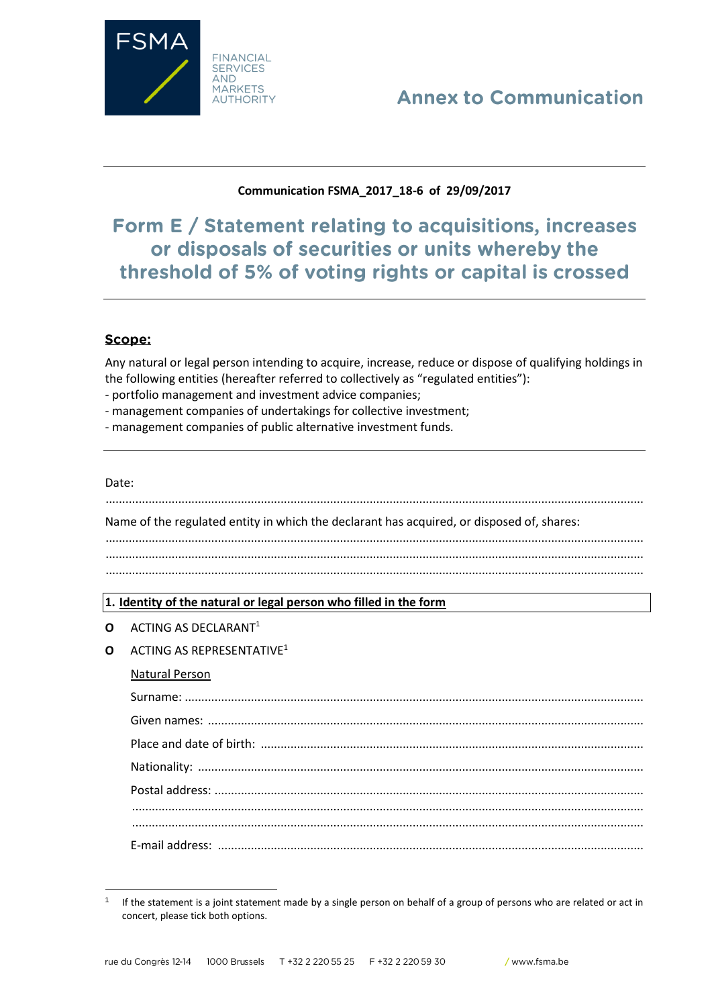

# **Annex to Communication**

## Communication FSMA 2017 18-6 of 29/09/2017

Form E / Statement relating to acquisitions, increases or disposals of securities or units whereby the threshold of 5% of voting rights or capital is crossed

### Scope:

Any natural or legal person intending to acquire, increase, reduce or dispose of qualifying holdings in the following entities (hereafter referred to collectively as "regulated entities"):

- portfolio management and investment advice companies;
- management companies of undertakings for collective investment;
- management companies of public alternative investment funds.

#### Date:

Name of the regulated entity in which the declarant has acquired, or disposed of, shares:

### 1. Identity of the natural or legal person who filled in the form

- $O$  ACTING AS DECLARANT<sup>1</sup>
- **Q** ACTING AS REPRESENTATIVE<sup>1</sup>

### **Natural Person**

 $\mathbf{1}$ If the statement is a joint statement made by a single person on behalf of a group of persons who are related or act in concert, please tick both options.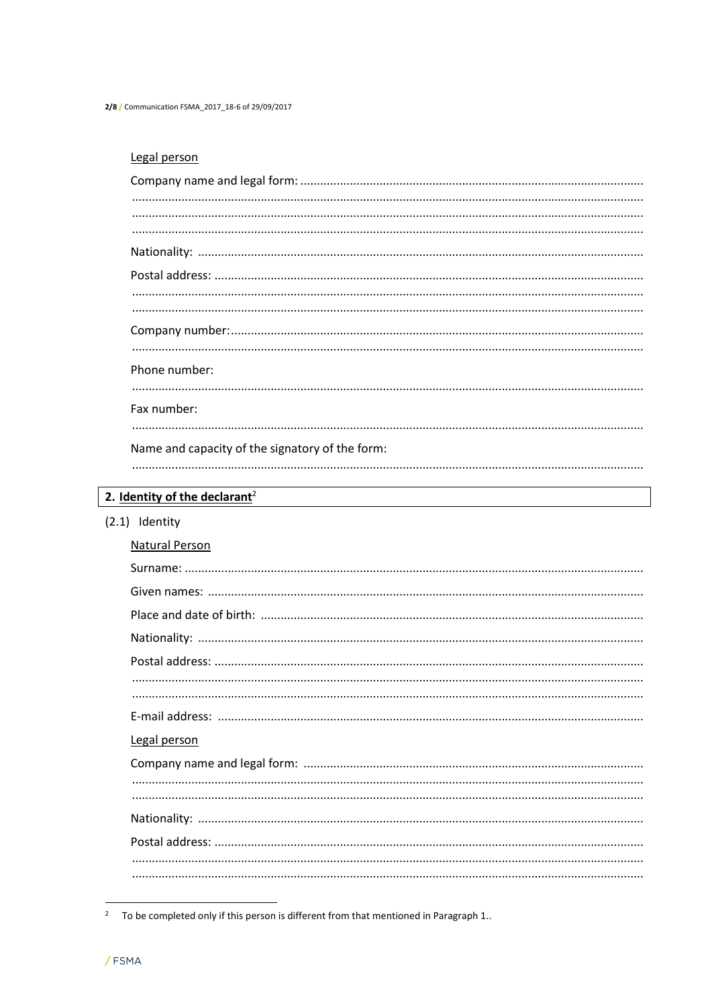2/8 / Communication FSMA\_2017\_18-6 of 29/09/2017

# Legal person

| Phone number:                                   |  |
|-------------------------------------------------|--|
|                                                 |  |
|                                                 |  |
| Fax number:                                     |  |
|                                                 |  |
| Name and capacity of the signatory of the form: |  |
|                                                 |  |
|                                                 |  |
| 2. Identity of the declarant <sup>2</sup>       |  |
|                                                 |  |

 $(2.1)$  Identity

| Natural Person |
|----------------|
|                |
|                |
|                |
|                |
|                |
|                |
|                |
|                |
| Legal person   |
|                |
|                |
|                |
|                |
|                |
|                |
|                |

<sup>&</sup>lt;sup>2</sup> To be completed only if this person is different from that mentioned in Paragraph 1..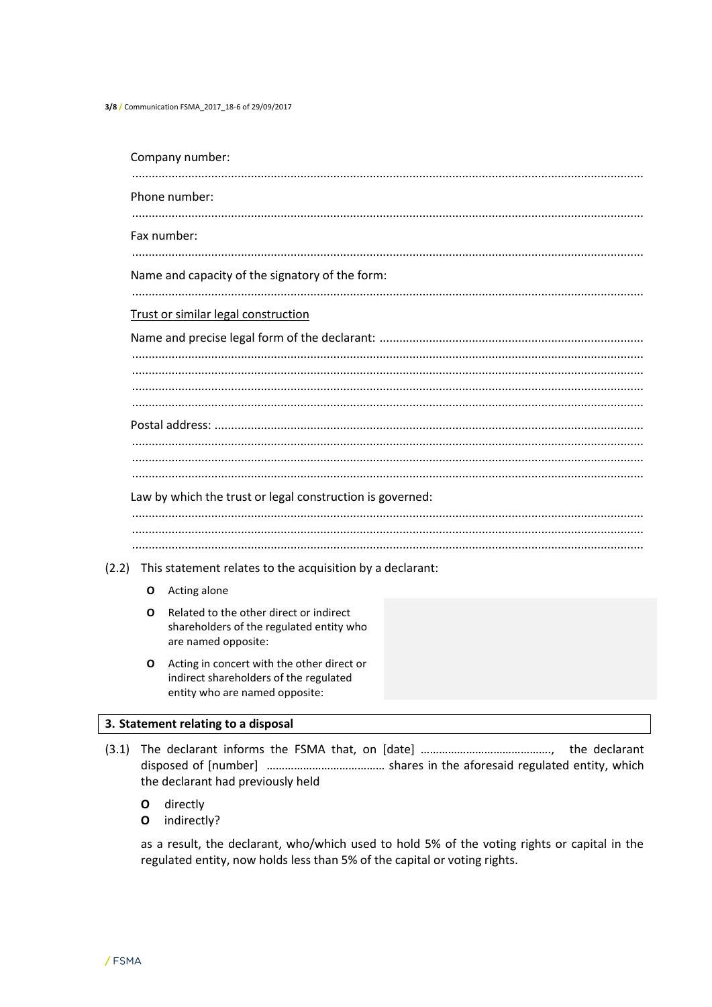3/8 / Communication FSMA\_2017\_18-6 of 29/09/2017

|                                                 |   | Company number:                                                                                            |  |  |  |  |  |  |
|-------------------------------------------------|---|------------------------------------------------------------------------------------------------------------|--|--|--|--|--|--|
|                                                 |   | Phone number:                                                                                              |  |  |  |  |  |  |
|                                                 |   | Fax number:                                                                                                |  |  |  |  |  |  |
| Name and capacity of the signatory of the form: |   |                                                                                                            |  |  |  |  |  |  |
|                                                 |   |                                                                                                            |  |  |  |  |  |  |
|                                                 |   | Trust or similar legal construction                                                                        |  |  |  |  |  |  |
|                                                 |   |                                                                                                            |  |  |  |  |  |  |
|                                                 |   |                                                                                                            |  |  |  |  |  |  |
|                                                 |   |                                                                                                            |  |  |  |  |  |  |
|                                                 |   |                                                                                                            |  |  |  |  |  |  |
|                                                 |   |                                                                                                            |  |  |  |  |  |  |
|                                                 |   |                                                                                                            |  |  |  |  |  |  |
|                                                 |   |                                                                                                            |  |  |  |  |  |  |
|                                                 |   |                                                                                                            |  |  |  |  |  |  |
|                                                 |   | Law by which the trust or legal construction is governed:                                                  |  |  |  |  |  |  |
|                                                 |   |                                                                                                            |  |  |  |  |  |  |
|                                                 |   |                                                                                                            |  |  |  |  |  |  |
| (2.2)                                           |   | This statement relates to the acquisition by a declarant:                                                  |  |  |  |  |  |  |
|                                                 | O | Acting alone                                                                                               |  |  |  |  |  |  |
|                                                 | Ο | Related to the other direct or indirect<br>shareholders of the regulated entity who<br>are named opposite: |  |  |  |  |  |  |
|                                                 | O | Acting in concert with the other direct or<br>indirect shareholders of the regulated                       |  |  |  |  |  |  |

# 3. Statement relating to a disposal

entity who are named opposite:

- the declarant had previously held
	- directly  $\mathbf{o}$
	- O indirectly?

as a result, the declarant, who/which used to hold 5% of the voting rights or capital in the regulated entity, now holds less than 5% of the capital or voting rights.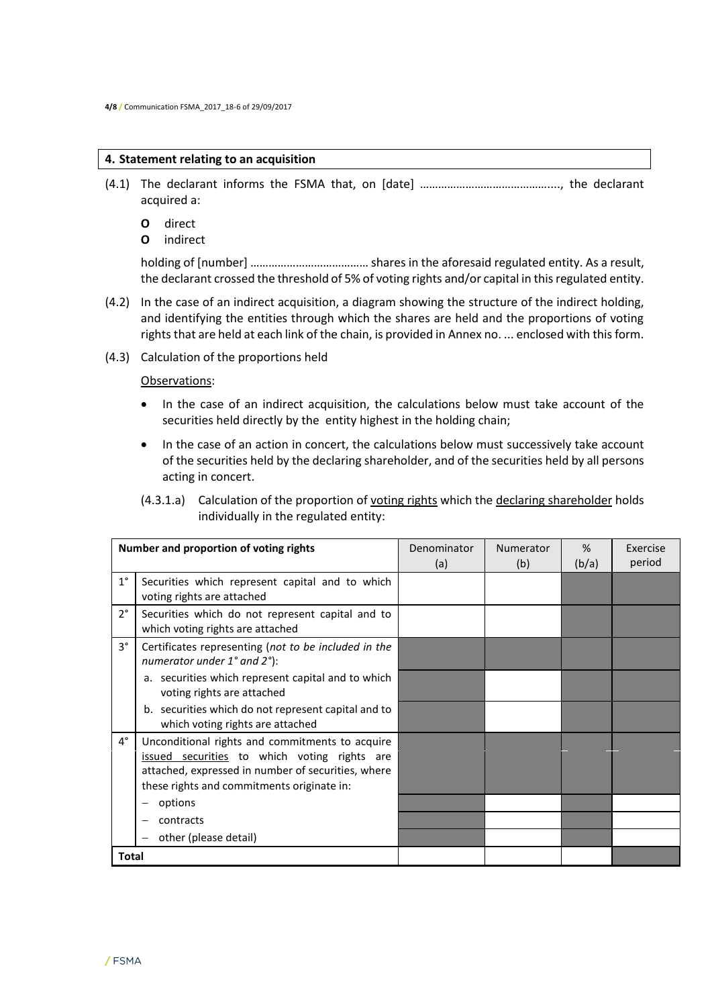### **4. Statement relating to an acquisition**

- (4.1) The declarant informs the FSMA that, on [date] ……………………………………...., the declarant acquired a:
	- **O** direct
	- **O** indirect

holding of [number] ………………………………… shares in the aforesaid regulated entity. As a result, the declarant crossed the threshold of 5% of voting rights and/or capital in this regulated entity.

- (4.2) In the case of an indirect acquisition, a diagram showing the structure of the indirect holding, and identifying the entities through which the shares are held and the proportions of voting rights that are held at each link of the chain, is provided in Annex no. ... enclosed with this form.
- (4.3) Calculation of the proportions held

### Observations:

- In the case of an indirect acquisition, the calculations below must take account of the securities held directly by the entity highest in the holding chain;
- In the case of an action in concert, the calculations below must successively take account of the securities held by the declaring shareholder, and of the securities held by all persons acting in concert.

(4.3.1.a) Calculation of the proportion of voting rights which the declaring shareholder holds individually in the regulated entity:

|             | Number and proportion of voting rights                                                                                                                                                              | Denominator<br>(a) | Numerator<br>(b) | %<br>(b/a) | Exercise<br>period |
|-------------|-----------------------------------------------------------------------------------------------------------------------------------------------------------------------------------------------------|--------------------|------------------|------------|--------------------|
| $1^{\circ}$ | Securities which represent capital and to which<br>voting rights are attached                                                                                                                       |                    |                  |            |                    |
| $2^{\circ}$ | Securities which do not represent capital and to<br>which voting rights are attached                                                                                                                |                    |                  |            |                    |
| $3^{\circ}$ | Certificates representing (not to be included in the<br>numerator under $1^{\circ}$ and $2^{\circ}$ ):                                                                                              |                    |                  |            |                    |
|             | a. securities which represent capital and to which<br>voting rights are attached                                                                                                                    |                    |                  |            |                    |
|             | b. securities which do not represent capital and to<br>which voting rights are attached                                                                                                             |                    |                  |            |                    |
| $4^{\circ}$ | Unconditional rights and commitments to acquire<br>issued securities to which voting rights are<br>attached, expressed in number of securities, where<br>these rights and commitments originate in: |                    |                  |            |                    |
|             | options                                                                                                                                                                                             |                    |                  |            |                    |
|             | contracts                                                                                                                                                                                           |                    |                  |            |                    |
|             | other (please detail)                                                                                                                                                                               |                    |                  |            |                    |
| Total       |                                                                                                                                                                                                     |                    |                  |            |                    |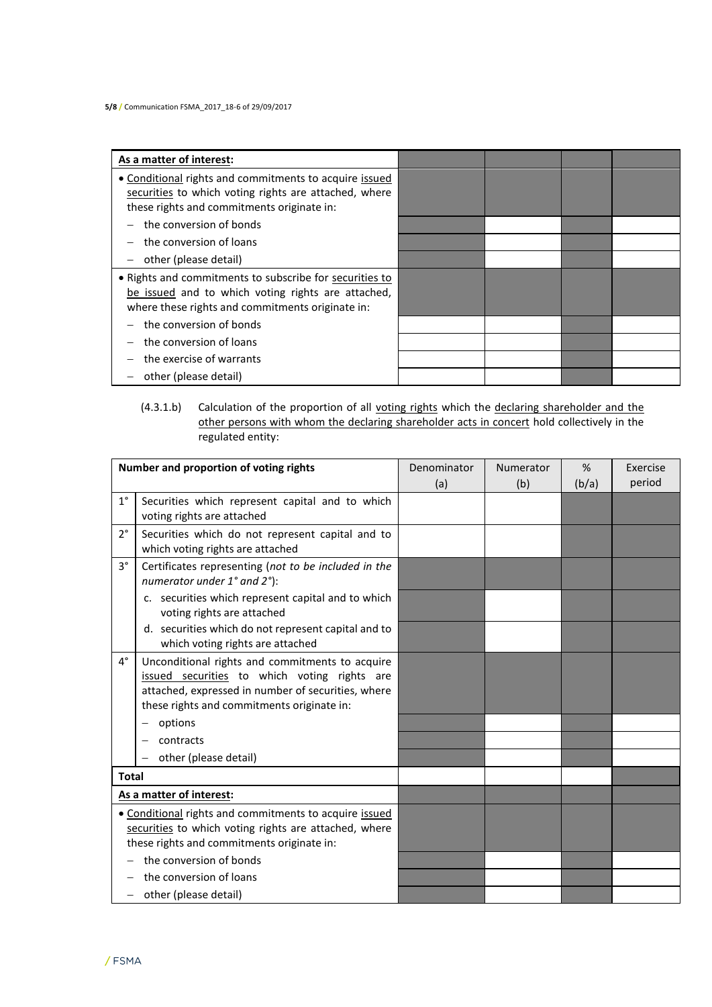| As a matter of interest:                                                                                                                                          |  |  |
|-------------------------------------------------------------------------------------------------------------------------------------------------------------------|--|--|
| • Conditional rights and commitments to acquire issued<br>securities to which voting rights are attached, where<br>these rights and commitments originate in:     |  |  |
| the conversion of bonds                                                                                                                                           |  |  |
| the conversion of loans                                                                                                                                           |  |  |
| other (please detail)                                                                                                                                             |  |  |
| . Rights and commitments to subscribe for securities to<br>be issued and to which voting rights are attached,<br>where these rights and commitments originate in: |  |  |
| the conversion of bonds                                                                                                                                           |  |  |
| the conversion of loans                                                                                                                                           |  |  |
| the exercise of warrants                                                                                                                                          |  |  |
| other (please detail)                                                                                                                                             |  |  |

### (4.3.1.b) Calculation of the proportion of all voting rights which the declaring shareholder and the other persons with whom the declaring shareholder acts in concert hold collectively in the regulated entity:

| Number and proportion of voting rights |                                                                                                                                                                                                     | Denominator | Numerator | %     | Exercise |
|----------------------------------------|-----------------------------------------------------------------------------------------------------------------------------------------------------------------------------------------------------|-------------|-----------|-------|----------|
|                                        |                                                                                                                                                                                                     | (a)         | (b)       | (b/a) | period   |
| $1^{\circ}$                            | Securities which represent capital and to which<br>voting rights are attached                                                                                                                       |             |           |       |          |
| $2^{\circ}$                            | Securities which do not represent capital and to<br>which voting rights are attached                                                                                                                |             |           |       |          |
| $3^{\circ}$                            | Certificates representing (not to be included in the<br>numerator under 1° and 2°):                                                                                                                 |             |           |       |          |
|                                        | c. securities which represent capital and to which<br>voting rights are attached                                                                                                                    |             |           |       |          |
|                                        | d. securities which do not represent capital and to<br>which voting rights are attached                                                                                                             |             |           |       |          |
| $4^{\circ}$                            | Unconditional rights and commitments to acquire<br>issued securities to which voting rights are<br>attached, expressed in number of securities, where<br>these rights and commitments originate in: |             |           |       |          |
|                                        | options                                                                                                                                                                                             |             |           |       |          |
|                                        | contracts                                                                                                                                                                                           |             |           |       |          |
|                                        | other (please detail)                                                                                                                                                                               |             |           |       |          |
| <b>Total</b>                           |                                                                                                                                                                                                     |             |           |       |          |
|                                        | As a matter of interest:                                                                                                                                                                            |             |           |       |          |
|                                        | . Conditional rights and commitments to acquire issued<br>securities to which voting rights are attached, where<br>these rights and commitments originate in:                                       |             |           |       |          |
|                                        | the conversion of bonds                                                                                                                                                                             |             |           |       |          |
|                                        | the conversion of loans                                                                                                                                                                             |             |           |       |          |
| $\qquad \qquad -$                      | other (please detail)                                                                                                                                                                               |             |           |       |          |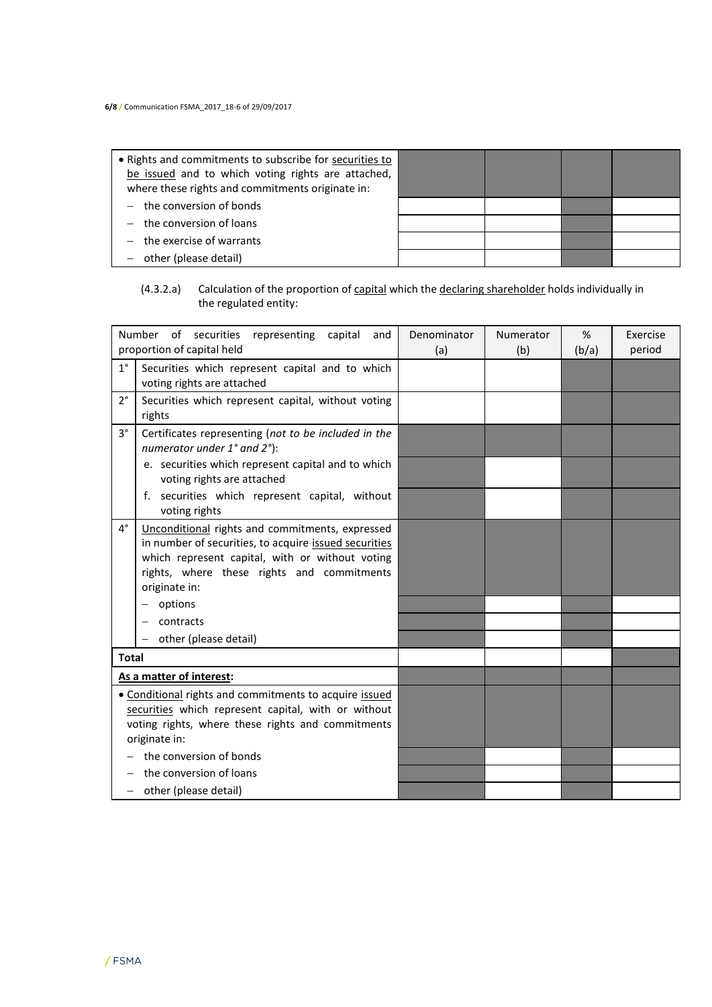| • Rights and commitments to subscribe for securities to<br>be issued and to which voting rights are attached,<br>where these rights and commitments originate in: |  |  |
|-------------------------------------------------------------------------------------------------------------------------------------------------------------------|--|--|
| $-$ the conversion of bonds                                                                                                                                       |  |  |
| $-$ the conversion of loans                                                                                                                                       |  |  |
| the exercise of warrants                                                                                                                                          |  |  |
| other (please detail)                                                                                                                                             |  |  |

### (4.3.2.a) Calculation of the proportion of capital which the declaring shareholder holds individually in the regulated entity:

|              | Number of securities<br>representing capital<br>and<br>proportion of capital held                                                                                                                                          | Denominator<br>(a) | Numerator<br>(b) | %<br>(b/a) | Exercise<br>period |
|--------------|----------------------------------------------------------------------------------------------------------------------------------------------------------------------------------------------------------------------------|--------------------|------------------|------------|--------------------|
| $1^{\circ}$  | Securities which represent capital and to which<br>voting rights are attached                                                                                                                                              |                    |                  |            |                    |
| $2^{\circ}$  | Securities which represent capital, without voting<br>rights                                                                                                                                                               |                    |                  |            |                    |
| $3^{\circ}$  | Certificates representing (not to be included in the<br>numerator under 1° and 2°):                                                                                                                                        |                    |                  |            |                    |
|              | e. securities which represent capital and to which<br>voting rights are attached                                                                                                                                           |                    |                  |            |                    |
|              | securities which represent capital, without<br>f.<br>voting rights                                                                                                                                                         |                    |                  |            |                    |
| 4°           | Unconditional rights and commitments, expressed<br>in number of securities, to acquire issued securities<br>which represent capital, with or without voting<br>rights, where these rights and commitments<br>originate in: |                    |                  |            |                    |
|              | options                                                                                                                                                                                                                    |                    |                  |            |                    |
|              | contracts                                                                                                                                                                                                                  |                    |                  |            |                    |
|              | other (please detail)                                                                                                                                                                                                      |                    |                  |            |                    |
| <b>Total</b> |                                                                                                                                                                                                                            |                    |                  |            |                    |
|              | As a matter of interest:                                                                                                                                                                                                   |                    |                  |            |                    |
|              | • Conditional rights and commitments to acquire issued<br>securities which represent capital, with or without<br>voting rights, where these rights and commitments<br>originate in:                                        |                    |                  |            |                    |
|              | the conversion of bonds                                                                                                                                                                                                    |                    |                  |            |                    |
|              | the conversion of loans                                                                                                                                                                                                    |                    |                  |            |                    |
| -            | other (please detail)                                                                                                                                                                                                      |                    |                  |            |                    |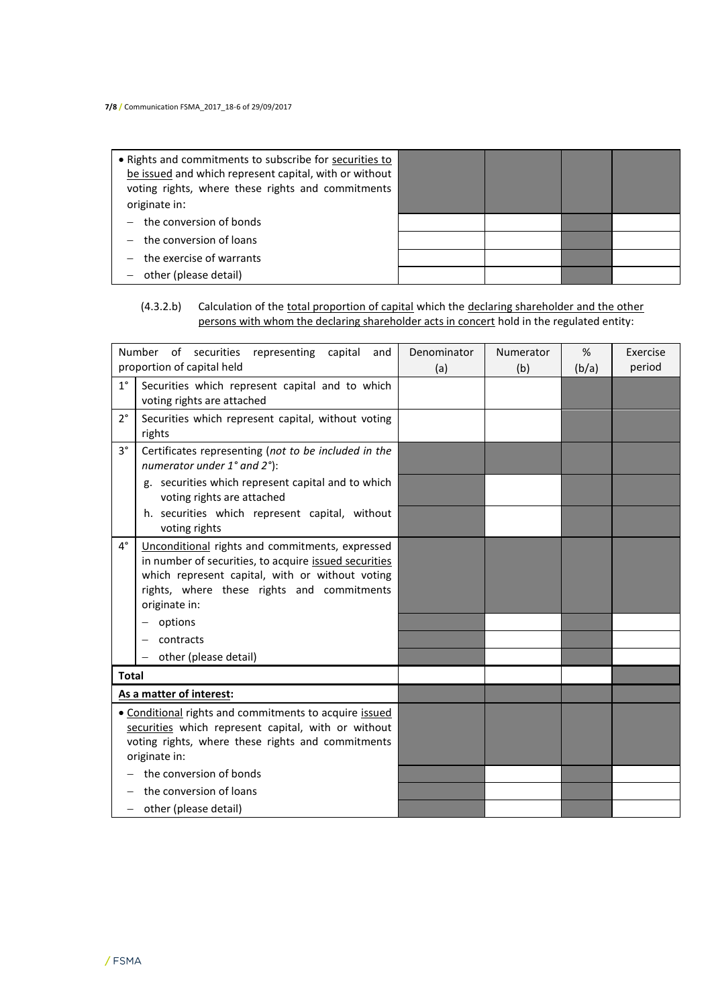| • Rights and commitments to subscribe for securities to<br>be issued and which represent capital, with or without<br>voting rights, where these rights and commitments<br>originate in: |  |  |
|-----------------------------------------------------------------------------------------------------------------------------------------------------------------------------------------|--|--|
| $-$ the conversion of bonds                                                                                                                                                             |  |  |
| $-$ the conversion of loans                                                                                                                                                             |  |  |
| $-$ the exercise of warrants                                                                                                                                                            |  |  |
| other (please detail)                                                                                                                                                                   |  |  |

## (4.3.2.b) Calculation of the total proportion of capital which the declaring shareholder and the other persons with whom the declaring shareholder acts in concert hold in the regulated entity:

|                                                                                                                                                                                     | Number of securities<br>representing capital<br>and<br>proportion of capital held                                                                                                                                          | Denominator<br>(a) | Numerator<br>(b) | %<br>(b/a) | Exercise<br>period |
|-------------------------------------------------------------------------------------------------------------------------------------------------------------------------------------|----------------------------------------------------------------------------------------------------------------------------------------------------------------------------------------------------------------------------|--------------------|------------------|------------|--------------------|
| $1^{\circ}$                                                                                                                                                                         | Securities which represent capital and to which<br>voting rights are attached                                                                                                                                              |                    |                  |            |                    |
| $2^{\circ}$                                                                                                                                                                         | Securities which represent capital, without voting<br>rights                                                                                                                                                               |                    |                  |            |                    |
| $3^{\circ}$                                                                                                                                                                         | Certificates representing (not to be included in the<br>numerator under 1° and 2°):                                                                                                                                        |                    |                  |            |                    |
|                                                                                                                                                                                     | g. securities which represent capital and to which<br>voting rights are attached                                                                                                                                           |                    |                  |            |                    |
|                                                                                                                                                                                     | h. securities which represent capital, without<br>voting rights                                                                                                                                                            |                    |                  |            |                    |
| $4^\circ$                                                                                                                                                                           | Unconditional rights and commitments, expressed<br>in number of securities, to acquire issued securities<br>which represent capital, with or without voting<br>rights, where these rights and commitments<br>originate in: |                    |                  |            |                    |
|                                                                                                                                                                                     | options                                                                                                                                                                                                                    |                    |                  |            |                    |
|                                                                                                                                                                                     | contracts                                                                                                                                                                                                                  |                    |                  |            |                    |
|                                                                                                                                                                                     | other (please detail)<br>$\qquad \qquad -$                                                                                                                                                                                 |                    |                  |            |                    |
| <b>Total</b>                                                                                                                                                                        |                                                                                                                                                                                                                            |                    |                  |            |                    |
|                                                                                                                                                                                     | As a matter of interest:                                                                                                                                                                                                   |                    |                  |            |                    |
| • Conditional rights and commitments to acquire issued<br>securities which represent capital, with or without<br>voting rights, where these rights and commitments<br>originate in: |                                                                                                                                                                                                                            |                    |                  |            |                    |
|                                                                                                                                                                                     | the conversion of bonds<br>the conversion of loans                                                                                                                                                                         |                    |                  |            |                    |
|                                                                                                                                                                                     | other (please detail)                                                                                                                                                                                                      |                    |                  |            |                    |
|                                                                                                                                                                                     |                                                                                                                                                                                                                            |                    |                  |            |                    |